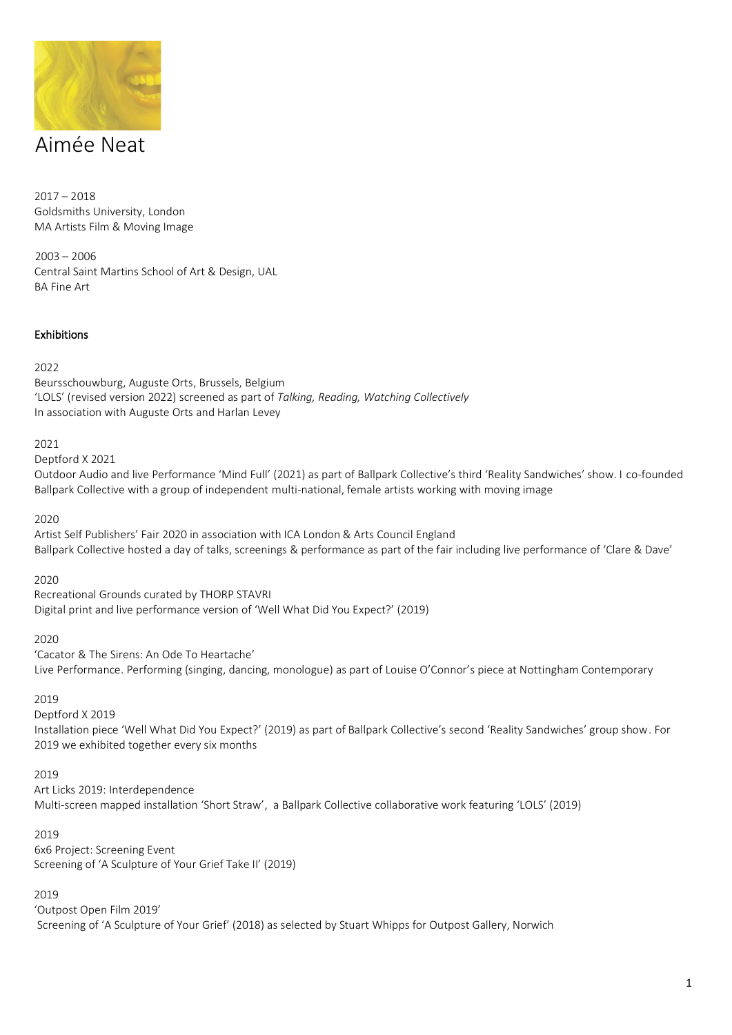

# Aimée Neat

2017 – 2018 Goldsmiths University, London MA Artists Film & Moving Image

2003 – 2006 Central Saint Martins School of Art & Design, UAL BA Fine Art

### Exhibitions

#### 2022

Beursschouwburg, Auguste Orts, Brussels, Belgium 'LOLS' (revised version 2022) screened as part of *Talking, Reading, Watching Collectively* In association with Auguste Orts and Harlan Levey

#### 2021

Deptford X 2021

Outdoor Audio and live Performance 'Mind Full' (2021) as part of Ballpark Collective's third 'Reality Sandwiches' show. I co-founded Ballpark Collective with a group of independent multi-national, female artists working with moving image

2020

Artist Self Publishers' Fair 2020 in association with ICA London & Arts Council England Ballpark Collective hosted a day of talks, screenings & performance as part of the fair including live performance of 'Clare & Dave'

### 2020

Recreational Grounds curated by THORP STAVRI Digital print and live performance version of 'Well What Did You Expect?' (2019)

### 2020

'Cacator & The Sirens: An Ode To Heartache' Live Performance. Performing (singing, dancing, monologue) as part of Louise O'Connor's piece at Nottingham Contemporary

### 2019

Deptford X 2019 Installation piece 'Well What Did You Expect?' (2019) as part of Ballpark Collective's second 'Reality Sandwiches' group show. For 2019 we exhibited together every six months

### 2019

Art Licks 2019: Interdependence Multi-screen mapped installation 'Short Straw', a Ballpark Collective collaborative work featuring 'LOLS' (2019)

### 2019

6x6 Project: Screening Event Screening of 'A Sculpture of Your Grief Take II' (2019)

### 2019

'Outpost Open Film 2019' Screening of 'A Sculpture of Your Grief' (2018) as selected by Stuart Whipps for Outpost Gallery, Norwich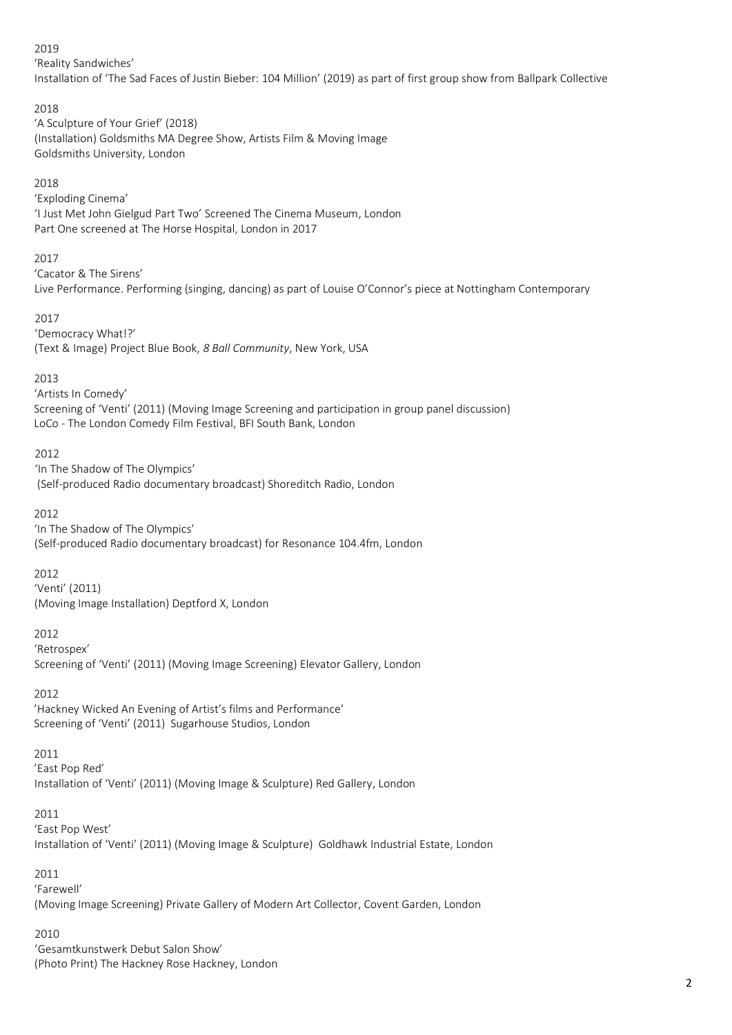### 2019

'Reality Sandwiches' Installation of 'The Sad Faces of Justin Bieber: 104 Million' (2019) as part of first group show from Ballpark Collective

# 2018

'A Sculpture of Your Grief' (2018) (Installation) Goldsmiths MA Degree Show, Artists Film & Moving Image Goldsmiths University, London

# 2018

'Exploding Cinema' 'I Just Met John Gielgud Part Two' Screened The Cinema Museum, London Part One screened at The Horse Hospital, London in 2017

# 2017

'Cacator & The Sirens' Live Performance. Performing (singing, dancing) as part of Louise O'Connor's piece at Nottingham Contemporary

# 2017

'Democracy What!?' (Text & Image) Project Blue Book, *8 Ball Community*, New York, USA

# 2013

'Artists In Comedy' Screening of 'Venti' (2011) (Moving Image Screening and participation in group panel discussion) LoCo - The London Comedy Film Festival, BFI South Bank, London

# 2012

'In The Shadow of The Olympics' (Self-produced Radio documentary broadcast) Shoreditch Radio, London

### 2012

'In The Shadow of The Olympics'

(Self-produced Radio documentary broadcast) for Resonance 104.4fm, London

2012

'Venti' (2011) (Moving Image Installation) Deptford X, London

# 2012

'Retrospex' Screening of 'Venti' (2011) (Moving Image Screening) Elevator Gallery, London

# 2012

'Hackney Wicked An Evening of Artist's films and Performance' Screening of 'Venti' (2011) Sugarhouse Studios, London

# 2011

'East Pop Red' Installation of 'Venti' (2011) (Moving Image & Sculpture) Red Gallery, London

# 2011

'East Pop West' Installation of 'Venti' (2011) (Moving Image & Sculpture) Goldhawk Industrial Estate, London

# 2011

'Farewell' (Moving Image Screening) Private Gallery of Modern Art Collector, Covent Garden, London

# 2010

'Gesamtkunstwerk Debut Salon Show' (Photo Print) The Hackney Rose Hackney, London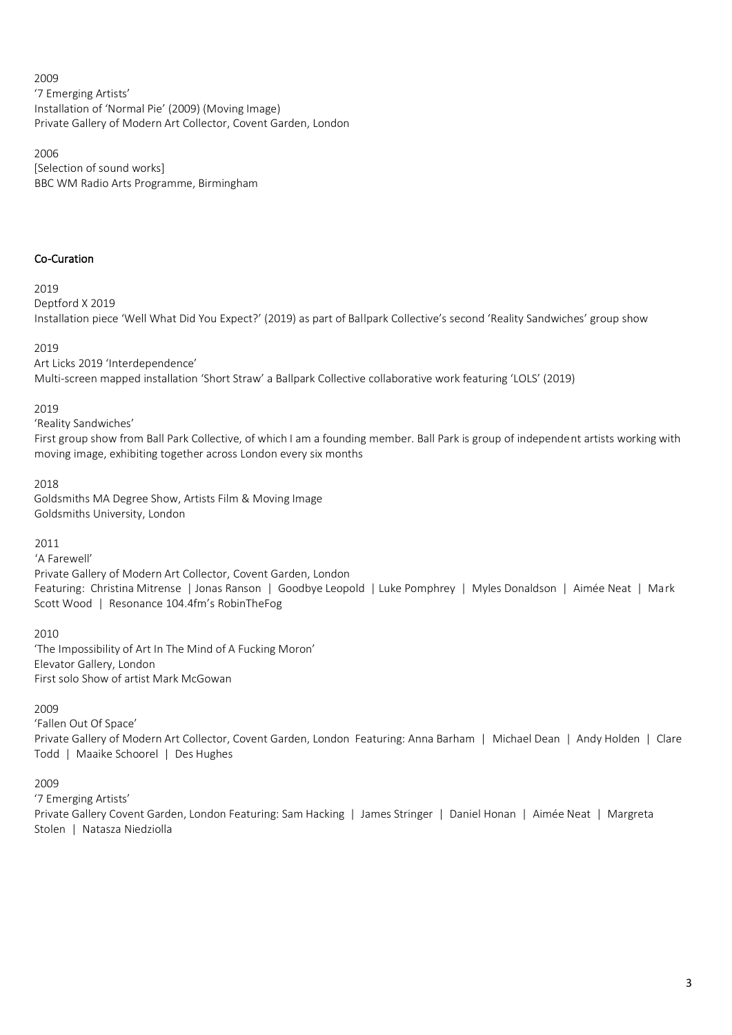2009 '7 Emerging Artists' Installation of 'Normal Pie' (2009) (Moving Image) Private Gallery of Modern Art Collector, Covent Garden, London

2006 [Selection of sound works] BBC WM Radio Arts Programme, Birmingham

### Co-Curation

2019

Deptford X 2019 Installation piece 'Well What Did You Expect?' (2019) as part of Ballpark Collective's second 'Reality Sandwiches' group show

2019

Art Licks 2019 'Interdependence' Multi-screen mapped installation 'Short Straw' a Ballpark Collective collaborative work featuring 'LOLS' (2019)

2019

'Reality Sandwiches'

First group show from Ball Park Collective, of which I am a founding member. Ball Park is group of independent artists working with moving image, exhibiting together across London every six months

2018

Goldsmiths MA Degree Show, Artists Film & Moving Image Goldsmiths University, London

2011

'A Farewell'

Private Gallery of Modern Art Collector, Covent Garden, London Featuring: Christina Mitrense | Jonas Ranson | Goodbye Leopold | Luke Pomphrey | Myles Donaldson | Aimée Neat | Mark Scott Wood | Resonance 104.4fm's RobinTheFog

2010

'The Impossibility of Art In The Mind of A Fucking Moron' Elevator Gallery, London First solo Show of artist Mark McGowan

2009

'Fallen Out Of Space' Private Gallery of Modern Art Collector, Covent Garden, London Featuring: Anna Barham | Michael Dean | Andy Holden | Clare Todd | Maaike Schoorel | Des Hughes

2009

'7 Emerging Artists'

Private Gallery Covent Garden, London Featuring: Sam Hacking | James Stringer | Daniel Honan | Aimée Neat | Margreta Stolen | Natasza Niedziolla